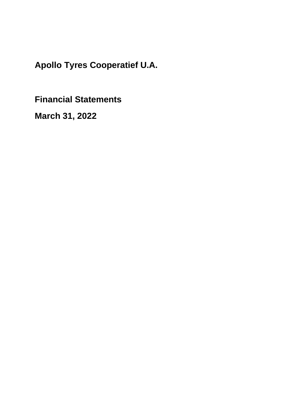**Financial Statements**

**March 31, 2022**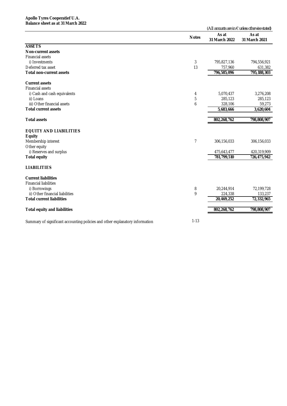|                                                                                          |                        | (All amounts are in $\epsilon$ unless otherwise stated) |
|------------------------------------------------------------------------------------------|------------------------|---------------------------------------------------------|
| <b>Notes</b>                                                                             | As at<br>31 March 2022 | As at<br>31 March 2021                                  |
| <b>ASSETS</b>                                                                            |                        |                                                         |
| <b>Non-current assets</b>                                                                |                        |                                                         |
| <b>Financial assets</b>                                                                  |                        |                                                         |
| i) Investments<br>3                                                                      | 795,827,136            | 794,556,921                                             |
| Deferred tax asset<br>13                                                                 | 757,960                | 631,382                                                 |
| <b>Total non-current assets</b>                                                          | 796,585,096            | 795,188,303                                             |
| <b>Current assets</b>                                                                    |                        |                                                         |
| <b>Financial assets</b>                                                                  |                        |                                                         |
| i) Cash and cash equivalents<br>4                                                        | 5,070,437              | 3,276,208                                               |
| 5<br>ii) Loans                                                                           | 285,123                | 285,123                                                 |
| iii) Other financial assets<br>6                                                         | 328,106                | 59,273                                                  |
| <b>Total current assets</b>                                                              | 5,683,666              | 3,620,604                                               |
| <b>Total assets</b>                                                                      | 802,268,762            | 798,808,907                                             |
| <b>EQUITY AND LIABILITIES</b>                                                            |                        |                                                         |
| <b>Equity</b>                                                                            |                        |                                                         |
| $\overline{7}$<br>Membership interest                                                    | 306,156,033            | 306,156,033                                             |
| Other equity                                                                             |                        |                                                         |
| i) Reserves and surplus                                                                  | 475,643,477            | 420,319,909                                             |
| <b>Total equity</b>                                                                      | 781,799,510            | 726,475,942                                             |
| <b>LIABILITIES</b>                                                                       |                        |                                                         |
| <b>Current liabilities</b>                                                               |                        |                                                         |
| <b>Financial liabilities</b>                                                             |                        |                                                         |
| 8<br>i) Borrowings                                                                       | 20,244,914             | 72,199,728                                              |
| 9<br>ii) Other financial liabilities                                                     | 224,338                | 133,237                                                 |
| <b>Total current liabilities</b>                                                         | 20,469,252             | $\overline{72}$ , 332, 965                              |
| <b>Total equity and liabilities</b>                                                      | 802,268,762            | 798,808,907                                             |
| $1 - 13$<br>Summary of significant accounting policies and other explanatory information |                        |                                                         |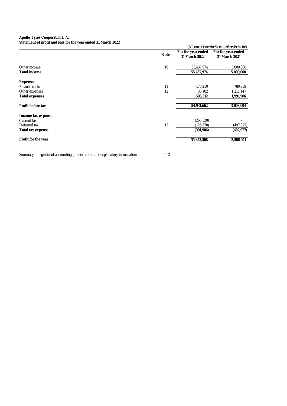#### **Apollo Tyres Cooperatief U.A. Statement of profit and loss for the year ended 31 March 2022**

| Statement of profit and loss for the year ended 31 iviarch 2022 |              |                                     |                                                         |
|-----------------------------------------------------------------|--------------|-------------------------------------|---------------------------------------------------------|
|                                                                 |              |                                     | (All amounts are in $\epsilon$ unless otherwise stated) |
|                                                                 | <b>Notes</b> | For the year ended<br>31 March 2022 | For the year ended<br>31 March 2021                     |
| Other income                                                    | 10           | 55,437,974                          | 5,000,000                                               |
| <b>Total income</b>                                             |              | 55,437,974                          | 5,000,000                                               |
| <b>Expenses</b>                                                 |              |                                     |                                                         |
| Finance costs                                                   | 11           | 470,210                             | 780,759                                                 |
| Other expenses                                                  | 12           | 36,102                              | 1,211,147                                               |
| <b>Total expenses</b>                                           |              | 506,312                             | 1,991,906                                               |
| Profit before tax                                               |              | 54,931,662                          | 3,008,094                                               |
| Income tax expense                                              |              |                                     |                                                         |
| Current tax                                                     |              | (265, 328)                          |                                                         |
| Deferred tax                                                    | 13           | (126,578)                           | (497, 977)                                              |
| Total tax expense                                               |              | (391,906)                           | (497, 977)                                              |
| Profit for the year                                             |              | 55,323,568                          | 3,506,071                                               |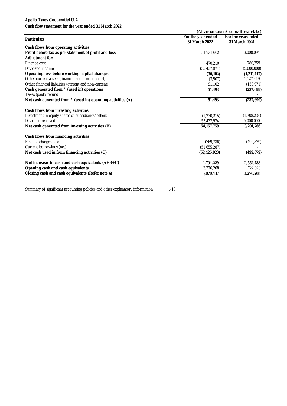### **Cash flow statement for the year ended 31 March 2022**

| Cash How statement for the year ended 31 Ividitin 2022       |                                          | (All amounts are in $\epsilon$ unless otherwise stated) |  |
|--------------------------------------------------------------|------------------------------------------|---------------------------------------------------------|--|
|                                                              | For the year ended<br>For the year ended |                                                         |  |
| <b>Particulars</b>                                           | 31 March 2022                            | 31 March 2021                                           |  |
| Cash flows from operating activities                         |                                          |                                                         |  |
| Profit before tax as per statement of profit and loss        | 54,931,662                               | 3,008,094                                               |  |
| <b>Adjustment for:</b>                                       |                                          |                                                         |  |
| Finance cost                                                 | 470.210                                  | 780,759                                                 |  |
| Dividend income                                              | (55, 437, 974)                           | (5,000,000)                                             |  |
| Operating loss before working capital changes                | (36, 102)                                | (1, 211, 147)                                           |  |
| Other current assets (financial and non-financial)           | (3,507)                                  | 1,127,419                                               |  |
| Other financial liabilities (current and non-current)        | 91,102                                   | (153, 971)                                              |  |
| Cash generated from / (used in) operations                   | 51,493                                   | (237, 699)                                              |  |
| Taxes (paid)/refund                                          |                                          |                                                         |  |
| Net cash generated from / (used in) operating activities (A) | 51,493                                   | (237, 699)                                              |  |
| Cash flows from investing activities                         |                                          |                                                         |  |
| Investment in equity shares of subsidiaries/others           | (1,270,215)                              | (1,708,234)                                             |  |
| Dividend received                                            | 55,437,974                               | 5,000,000                                               |  |
| Net cash generated from investing activities (B)             | 54, 167, 759                             | 3,291,766                                               |  |
| Cash flows from financing activities                         |                                          |                                                         |  |
| Finance charges paid                                         | (769, 736)                               | (499, 879)                                              |  |
| Current borrowings (net)                                     | (51,655,287)                             |                                                         |  |
| Net cash used in from financing activities (C)               | (52, 425, 023)                           | (499, 879)                                              |  |
| Net increase in cash and cash equivalents $(A+B+C)$          | 1,794,229                                | 2,554,188                                               |  |
| Opening cash and cash equivalents                            | 3,276,208                                | 722,020                                                 |  |
| Closing cash and cash equivalents (Refer note 4)             | 5,070,437                                | 3,276,208                                               |  |
|                                                              |                                          |                                                         |  |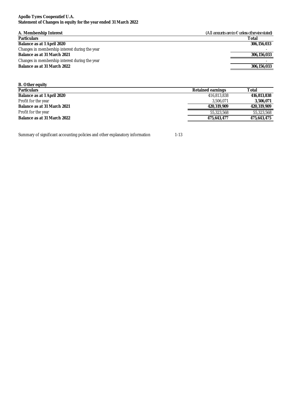#### **Apollo Tyres Cooperatief U.A. Statement of Changes in equity for the year ended 31 March 2022**

| A. Membership Interest                         | (All amounts are in $\epsilon$ unless otherwise stated) |
|------------------------------------------------|---------------------------------------------------------|
| <b>Particulars</b>                             | Total                                                   |
| Balance as at 1 April 2020                     | 306,156,033                                             |
| Changes in membership interest during the year |                                                         |
| Balance as at 31 March 2021                    | 306,156,033                                             |
| Changes in membership interest during the year |                                                         |
| Balance as at 31 March 2022                    | 306,156,033                                             |
|                                                |                                                         |

| <b>B.</b> Other equity      |                          |             |
|-----------------------------|--------------------------|-------------|
| <b>Particulars</b>          | <b>Retained earnings</b> | Total       |
| Balance as at 1 April 2020  | 416,813,838              | 416,813,838 |
| Profit for the year         | 3.506.071                | 3,506,071   |
| Balance as at 31 March 2021 | 420,319,909              | 420.319.909 |
| Profit for the year         | 55,323,568               | 55,323,568  |
| Balance as at 31 March 2022 | 475,643,477              | 475,643,475 |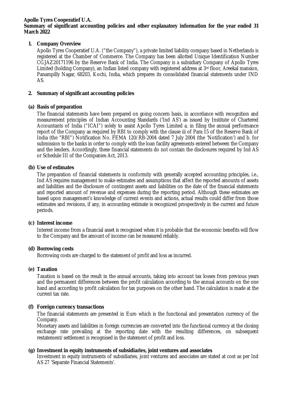### **Summary of significant accounting policies and other explanatory information for the year ended 31 March 2022**

# **1. Company Overview**

Apollo Tyres Cooperatief U.A. ("the Company"), a private limited liability company based in Netherlands is registered at the Chamber of Commerce. The Company has been allotted Unique Identification Number CGJAZ20171196 by the Reserve Bank of India. The Company is a subsidiary Company of Apollo Tyres Limited (holding Company), an Indian listed company with registered address at 3<sup>rd</sup> floor, Areekal mansion, Panampilly Nagar, 68203, Kochi, India, which prepares its consolidated financial statements under IND AS.

# **2. Summary of significant accounting policies**

# **(a) Basis of preparation**

The financial statements have been prepared on going concern basis, in accordance with recognition and measurement principles of Indian Accounting Standards ('Ind AS') as issued by Institute of Chartered Accountants of India ("ICAI") solely to assist Apollo Tyres Limited a. in filing the annual performance report of the Company as required by RBI to comply with the clause iii of Para 15 of the Reserve Bank of India (the "RBI") Notification No. FEMA 120/RB-2004 dated 7 July 2004 (the 'Notification') and b. for submission to the banks in order to comply with the loan facility agreements entered between the Company and the lenders. Accordingly, these financial statements do not contain the disclosures required by Ind AS or Schedule III of the Companies Act, 2013.

# **(b) Use of estimates**

The preparation of financial statements in conformity with generally accepted accounting principles, i.e., Ind AS requires management to make estimates and assumptions that affect the reported amounts of assets and liabilities and the disclosure of contingent assets and liabilities on the date of the financial statements and reported amount of revenue and expenses during the reporting period. Although these estimates are based upon management's knowledge of current events and actions, actual results could differ from those estimates and revisions, if any, in accounting estimate is recognized prospectively in the current and future periods.

# **(c) Interest income**

Interest income from a financial asset is recognised when it is probable that the economic benefits will flow to the Company and the amount of income can be measured reliably.

# **(d) Borrowing costs**

Borrowing costs are charged to the statement of profit and loss as incurred.

# **(e) Taxation**

Taxation is based on the result in the annual accounts, taking into account tax losses from previous years and the permanent differences between the profit calculation according to the annual accounts on the one hand and according to profit calculation for tax purposes on the other hand. The calculation is made at the current tax rate.

# **(f) Foreign currency transactions**

The financial statements are presented in Euro which is the functional and presentation currency of the Company.

Monetary assets and liabilities in foreign currencies are converted into the functional currency at the closing exchange rate prevailing at the reporting date with the resulting differences, on subsequent restatement/settlement is recognised in the statement of profit and loss.

# **(g) Investment in equity instruments of subsidiaries, joint ventures and associates**

Investment in equity instruments of subsidiaries, joint ventures and associates are stated at cost as per Ind AS 27 'Separate Financial Statements'.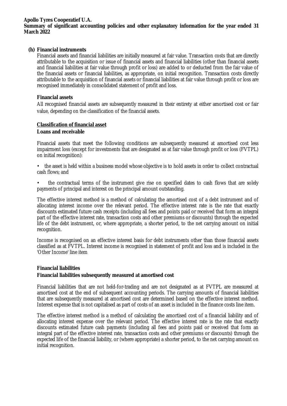#### **Apollo Tyres Cooperatief U.A. Summary of significant accounting policies and other explanatory information for the year ended 31 March 2022**

### **(h) Financial instruments**

Financial assets and financial liabilities are initially measured at fair value. Transaction costs that are directly attributable to the acquisition or issue of financial assets and financial liabilities (other than financial assets and financial liabilities at fair value through profit or loss) are added to or deducted from the fair value of the financial assets or financial liabilities, as appropriate, on initial recognition. Transaction costs directly attributable to the acquisition of financial assets or financial liabilities at fair value through profit or loss are recognised immediately in consolidated statement of profit and loss.

#### **Financial assets**

All recognised financial assets are subsequently measured in their entirety at either amortised cost or fair value, depending on the classification of the financial assets.

### **Classification of financial asset**

#### **Loans and receivable**

Financial assets that meet the following conditions are subsequently measured at amortised cost less impairment loss (except for investments that are designated as at fair value through profit or loss (FVTPL) on initial recognition):

- the asset is held within a business model whose objective is to hold assets in order to collect contractual cash flows; and
- the contractual terms of the instrument give rise on specified dates to cash flows that are solely payments of principal and interest on the principal amount outstanding.

The effective interest method is a method of calculating the amortised cost of a debt instrument and of allocating interest income over the relevant period. The effective interest rate is the rate that exactly discounts estimated future cash receipts (including all fees and points paid or received that form an integral part of the effective interest rate, transaction costs and other premiums or discounts) through the expected life of the debt instrument, or, where appropriate, a shorter period, to the net carrying amount on initial recognition.

Income is recognised on an effective interest basis for debt instruments other than those financial assets classified as at FVTPL. Interest income is recognised in statement of profit and loss and is included in the 'Other Income' line item

# **Financial liabilities Financial liabilities subsequently measured at amortised cost**

Financial liabilities that are not held-for-trading and are not designated as at FVTPL are measured at amortised cost at the end of subsequent accounting periods. The carrying amounts of financial liabilities that are subsequently measured at amortised cost are determined based on the effective interest method. Interest expense that is not capitalised as part of costs of an asset is included in the finance costs line item.

The effective interest method is a method of calculating the amortised cost of a financial liability and of allocating interest expense over the relevant period. The effective interest rate is the rate that exactly discounts estimated future cash payments (including all fees and points paid or received that form an integral part of the effective interest rate, transaction costs and other premiums or discounts) through the expected life of the financial liability, or (where appropriate) a shorter period, to the net carrying amount on initial recognition.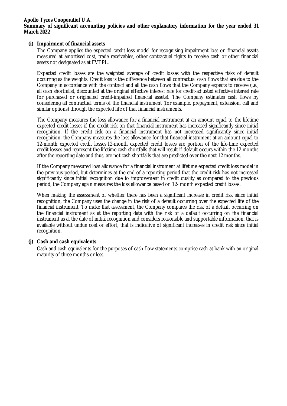### **Summary of significant accounting policies and other explanatory information for the year ended 31 March 2022**

### **(i) Impairment of financial assets**

The Company applies the expected credit loss model for recognising impairment loss on financial assets measured at amortised cost, trade receivables, other contractual rights to receive cash or other financial assets not designated as at FVTPL.

Expected credit losses are the weighted average of credit losses with the respective risks of default occurring as the weights. Credit loss is the difference between all contractual cash flows that are due to the Company in accordance with the contract and all the cash flows that the Company expects to receive (i.e., all cash shortfalls), discounted at the original effective interest rate (or credit-adjusted effective interest rate for purchased or originated credit-impaired financial assets). The Company estimates cash flows by considering all contractual terms of the financial instrument (for example, prepayment, extension, call and similar options) through the expected life of that financial instruments.

The Company measures the loss allowance for a financial instrument at an amount equal to the lifetime expected credit losses if the credit risk on that financial instrument has increased significantly since initial recognition. If the credit risk on a financial instrument has not increased significantly since initial recognition, the Company measures the loss allowance for that financial instrument at an amount equal to 12-month expected credit losses.12-month expected credit losses are portion of the life-time expected credit losses and represent the lifetime cash shortfalls that will result if default occurs within the 12 months after the reporting date and thus, are not cash shortfalls that are predicted over the next 12 months.

If the Company measured loss allowance for a financial instrument at lifetime expected credit loss model in the previous period, but determines at the end of a reporting period that the credit risk has not increased significantly since initial recognition due to improvement in credit quality as compared to the previous period, the Company again measures the loss allowance based on 12- month expected credit losses.

When making the assessment of whether there has been a significant increase in credit risk since initial recognition, the Company uses the change in the risk of a default occurring over the expected life of the financial instrument. To make that assessment, the Company compares the risk of a default occurring on the financial instrument as at the reporting date with the risk of a default occurring on the financial instrument as at the date of initial recognition and considers reasonable and supportable information, that is available without undue cost or effort, that is indicative of significant increases in credit risk since initial recognition.

# **(j) Cash and cash equivalents**

Cash and cash equivalents for the purposes of cash flow statements comprise cash at bank with an original maturity of three months or less.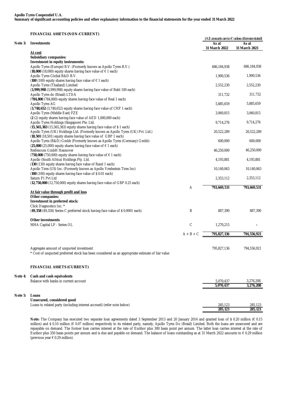**FINANCIAL ASSETS (NON-CURRENT)**

| Note 3: | <b>Investments</b>                                                                                                                                |             | As at<br>31 March 2022 | (All amounts are in $\epsilon$ unless otherwise stated)<br>As at<br>31 March 2021 |
|---------|---------------------------------------------------------------------------------------------------------------------------------------------------|-------------|------------------------|-----------------------------------------------------------------------------------|
|         | At cost                                                                                                                                           |             |                        |                                                                                   |
|         | <b>Subsidiary companies:</b>                                                                                                                      |             |                        |                                                                                   |
|         | Investment in equity instruments:                                                                                                                 |             |                        |                                                                                   |
|         | Apollo Tyres (Europe) B.V. (Formerly known as Apollo Tyres B.V.)                                                                                  |             | 686,184,938            | 686,184,938                                                                       |
|         | (18,000 (18,000) equity shares having face value of $\epsilon$ 1 each)<br>Apollo Tyres Global R&D B.V.                                            |             | 1,900,536              | 1,900,536                                                                         |
|         | (100 (100) equity shares having face value of $\epsilon$ 1 each)                                                                                  |             |                        |                                                                                   |
|         | Apollo Tyres (Thailand) Limited                                                                                                                   |             | 2,552,230              | 2,552,230                                                                         |
|         | (3,999,998 (3,999,998) equity shares having face value of Baht 100 each)<br>Apollo Tyres do (Brasil) LTDA                                         |             | 311,732                | 311,732                                                                           |
|         | (784,800 (784,800) equity shares having face value of Real 1 each)                                                                                |             |                        |                                                                                   |
|         | Apollo Tyres AG                                                                                                                                   |             | 5,885,659              | 5,885,659                                                                         |
|         | (3,748,652 (3,748,652) equity shares having face value of CHF 1 each)                                                                             |             |                        |                                                                                   |
|         | Apollo Tyres (Middle East) FZE                                                                                                                    |             | 3,060,815              | 3,060,815                                                                         |
|         | (2 (2) equity shares having face value of AED 1,000,000 each)                                                                                     |             |                        |                                                                                   |
|         | Apollo Tyres Holdings (Singapore) Pte. Ltd.                                                                                                       |             | 9,714,276              | 9,714,276                                                                         |
|         | (15,565,383 (15,565,383) equity shares having face value of \$1 each)                                                                             |             |                        |                                                                                   |
|         | Apollo Tyres (UK) Holdings Ltd. (Formerly known as Apollo Tyres (UK) Pvt. Ltd.)                                                                   |             | 20,522,289             | 20,522,289                                                                        |
|         | (18,501 (18,501) equity shares having face value of GBP 1 each)                                                                                   |             |                        |                                                                                   |
|         | Apollo Tyres (R&D) Gmbh (Formerly known as Apollo Tyres (Germany) Gmbh)<br>(25,000 (25,000) equity shares having face value of $\epsilon$ 1 each) |             | 600,000                | 600,000                                                                           |
|         | Reifencom GmbH Hannover                                                                                                                           |             | 46,250,000             | 46,250,000                                                                        |
|         | (750,000 (750,000) equity shares having face value of $\epsilon$ 1 each)                                                                          |             |                        |                                                                                   |
|         | Apollo (South Africa) Holdings Pty. Ltd.                                                                                                          |             | 4,193,881              | 4,193,881                                                                         |
|         | (130 (130) equity shares having face value of Rand 1 each)                                                                                        |             |                        |                                                                                   |
|         | Apollo Tires (US) Inc. (Formerly known as Apollo Vredestein Tires Inc)                                                                            |             | 10,140,063             | 10,140,063                                                                        |
|         | (100 (100) equity shares having face value of \$0.01 each)                                                                                        |             |                        |                                                                                   |
|         | Saturn F1 Pvt Ltd                                                                                                                                 |             | 2,353,112              | 2,353,112                                                                         |
|         | (12,750,000 (12,750,000) equity shares having face value of GBP 0.25 each)                                                                        | Α           | 793,669,531            | 793,669,531                                                                       |
|         | At fair value through profit and loss                                                                                                             |             |                        |                                                                                   |
|         | Other companies:                                                                                                                                  |             |                        |                                                                                   |
|         | Investment in preferred stock:                                                                                                                    |             |                        |                                                                                   |
|         | Click Diagnostics Inc. *                                                                                                                          |             |                        |                                                                                   |
|         | (49,358 (49,358) Series C preferred stock having face value of \$0.0001 each)                                                                     | B           | 887,390                | 887,390                                                                           |
|         |                                                                                                                                                   |             |                        |                                                                                   |
|         | <b>Other investments</b><br>MHA Capital LP - Series OL                                                                                            | C           | 1,270,215              |                                                                                   |
|         |                                                                                                                                                   |             |                        |                                                                                   |
|         |                                                                                                                                                   | $A + B + C$ | 795,827,136            | 794,556,921                                                                       |
|         |                                                                                                                                                   |             |                        |                                                                                   |
|         |                                                                                                                                                   |             |                        |                                                                                   |
|         | Aggregate amount of unguoted investment                                                                                                           |             | 795,827,136            | 794,556,921                                                                       |
|         | Cost of unquoted preferred stock has been considered as an appropriate estimate of fair value                                                     |             |                        |                                                                                   |
|         |                                                                                                                                                   |             |                        |                                                                                   |
|         | <b>FINANCIAL ASSETS (CURRENT)</b>                                                                                                                 |             |                        |                                                                                   |
| Note 4: | Cash and cash equivalents                                                                                                                         |             |                        |                                                                                   |
|         | Balance with banks in current account                                                                                                             |             | 5,070,437              | 3,276,208                                                                         |
|         |                                                                                                                                                   |             | 5,070,437              | 3,276,208                                                                         |
|         |                                                                                                                                                   |             |                        |                                                                                   |
| Note 5: | Loans                                                                                                                                             |             |                        |                                                                                   |
|         | Unsecured, considered good                                                                                                                        |             |                        |                                                                                   |
|         | Loans to related party (including interest accrued) (refer note below)                                                                            |             | 285,123                | 285,123                                                                           |
|         |                                                                                                                                                   |             | 285,123                | 285,123                                                                           |

Note: The Company has executed two separate loan agreements dated 3 September 2013 and 20 January 2014 and granted loan of \$ 0.20 million (€ 0.15 million) and \$ 0.10 million (€ 0.07 million) respectively to its related party, namely, Apollo Tyres Do (Brasil) Limited. Both the loans are unsecured and are repayable on demand. The former loan carries interest at the rate of Euribor plus 300 basis point per annum. The latter loan carries interest at the rate of Euribor plus 350 basis points per annum and is due and payable on demand. The balance of loans outstanding as at 31 March 2022 amounts to  $\epsilon$  0.29 million (previous year € 0.29 million).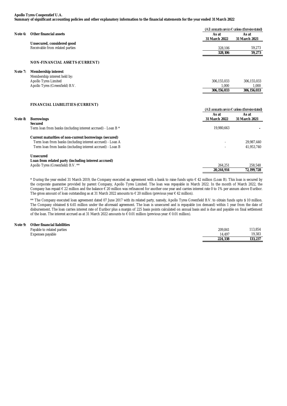#### **Apollo Tyres Cooperatief U.A. Summary of significant accounting policies and other explanatory information to the financial statements for the year ended 31 March 2022**

|         |                                 |               | (All amounts are in $\epsilon$ unless otherwise stated) |  |
|---------|---------------------------------|---------------|---------------------------------------------------------|--|
| Note 6: | Other financial assets          | As at         | As at                                                   |  |
|         |                                 | 31 March 2022 | 31 March 2021                                           |  |
|         | Unsecured, considered good      |               |                                                         |  |
|         | Receivable from related parties | 328.106       | 59.273                                                  |  |
|         |                                 | 328,106       | 59.273                                                  |  |
|         |                                 |               |                                                         |  |

#### **NON-FINANCIAL ASSETS (CURRENT)**

#### **Note 7: Membership interest**

|                                | 306.156.033 | 306.156.033 |
|--------------------------------|-------------|-------------|
| Apollo Tyres (Greenfield) B.V. | 1.000       | 000.        |
| <b>Apollo Tyres Limited</b>    | 306,155,033 | 306,155,033 |
| Membership interest held by:   |             |             |

#### **FINANCIAL LIABILITIES (CURRENT)**

|         |                                                                                | (All amounts are in $\epsilon$ unless otherwise stated) |                        |
|---------|--------------------------------------------------------------------------------|---------------------------------------------------------|------------------------|
| Note 8: | <b>Borrowings</b>                                                              | As at<br>31 March 2022                                  | As at<br>31 March 2021 |
|         | <b>Secured</b><br>Term loan from banks (including interest accrued) - Loan B * | 19.980.663                                              |                        |
|         |                                                                                |                                                         |                        |
|         | Current maturities of non-current borrowings (secured)                         |                                                         |                        |
|         | Term loan from banks (including interest accrued) - Loan A                     |                                                         | 29.987.440             |
|         | Term Ioan from banks (including interest accrued) - Loan B                     |                                                         | 41.953.740             |
|         | <b>Unsecured</b>                                                               |                                                         |                        |
|         | Loan from related party (including interest accrued)                           |                                                         |                        |
|         | Apollo Tyres (Greenfield) B.V. **                                              | 264.251                                                 | 258.548                |
|         |                                                                                | 20.244.914                                              | 72.199.728             |

\* During the year ended 31 March 2019, the Company executed an agreement with a bank to raise funds upto € 42 million (Loan B). This loan is secured by the corporate guarantee provided by parent Company, Apollo Tyres Limited. The loan was repayable in March 2022. In the month of March 2022, the Company has repaid € 22 million and the balance € 20 million was refinanced for another one year and carries interest rate 0 to 1% per annum above Euribor. The gross amount of loan outstanding as at 31 March 2022 amounts to € 20 million (previous year € 42 million).

\*\* The Company executed loan agreement dated 07 June 2017 with its related party, namely, Apollo Tyres Greenfield B.V. to obtain funds upto \$ 10 million. The Company obtained \$ 6.65 million under the aforesaid agreement. The loan is unsecured and is repayable (on demand) within 1 year from the date of disbursement. The loan carries interest rate of Euribor plus a margin of 225 basis points calculated on annual basis and is due and payable on final settlement of the loan. The interest accrued as at 31 March 2022 amounts to € 0.01 million (previous year: € 0.01 million).

#### **Note 9: Other financial liabilities**

| ---------------------------- |         |         |
|------------------------------|---------|---------|
| Payable to related parties   | 209.841 | 113,854 |
| Expenses payable             | 14.497  | 19,383  |
|                              | 224.338 | 133.237 |
|                              |         |         |